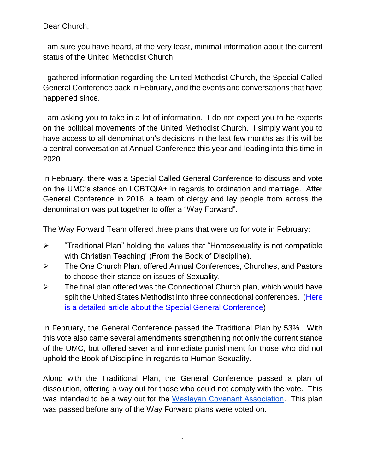Dear Church,

I am sure you have heard, at the very least, minimal information about the current status of the United Methodist Church.

I gathered information regarding the United Methodist Church, the Special Called General Conference back in February, and the events and conversations that have happened since.

I am asking you to take in a lot of information. I do not expect you to be experts on the political movements of the United Methodist Church. I simply want you to have access to all denomination's decisions in the last few months as this will be a central conversation at Annual Conference this year and leading into this time in 2020.

In February, there was a Special Called General Conference to discuss and vote on the UMC's stance on LGBTQIA+ in regards to ordination and marriage. After General Conference in 2016, a team of clergy and lay people from across the denomination was put together to offer a "Way Forward".

The Way Forward Team offered three plans that were up for vote in February:

- ➢ "Traditional Plan" holding the values that "Homosexuality is not compatible with Christian Teaching' (From the Book of Discipline).
- ➢ The One Church Plan, offered Annual Conferences, Churches, and Pastors to choose their stance on issues of Sexuality.
- $\triangleright$  The final plan offered was the Connectional Church plan, which would have split the United States Methodist into three connectional conferences. (Here [is a detailed article about the Special General Conference\)](http://www.umc.org/who-we-are/what-happened-and-what-didnt-at-general-conference-2019)

In February, the General Conference passed the Traditional Plan by 53%. With this vote also came several amendments strengthening not only the current stance of the UMC, but offered sever and immediate punishment for those who did not uphold the Book of Discipline in regards to Human Sexuality.

Along with the Traditional Plan, the General Conference passed a plan of dissolution, offering a way out for those who could not comply with the vote. This was intended to be a way out for the [Wesleyan Covenant Association.](https://wesleyancovenant.org/) This plan was passed before any of the Way Forward plans were voted on.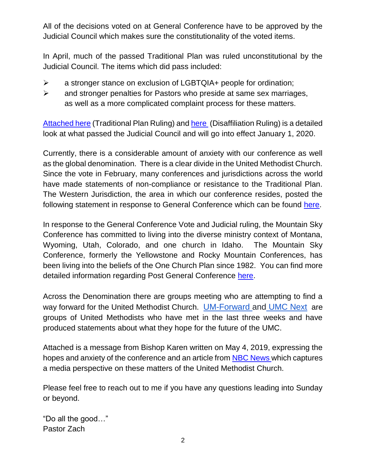All of the decisions voted on at General Conference have to be approved by the Judicial Council which makes sure the constitutionality of the voted items.

In April, much of the passed Traditional Plan was ruled unconstitutional by the Judicial Council. The items which did pass included:

- ➢ a stronger stance on exclusion of LGBTQIA+ people for ordination;
- ➢ and stronger penalties for Pastors who preside at same sex marriages, as well as a more complicated complaint process for these matters.

[Attached here](http://www.umc.org/decisions/79922) (Traditional Plan Ruling) and [here](http://www.umc.org/decisions/79923) (Disaffiliation Ruling) is a detailed look at what passed the Judicial Council and will go into effect January 1, 2020.

Currently, there is a considerable amount of anxiety with our conference as well as the global denomination. There is a clear divide in the United Methodist Church. Since the vote in February, many conferences and jurisdictions across the world have made statements of non-compliance or resistance to the Traditional Plan. The Western Jurisdiction, the area in which our conference resides, posted the following statement in response to General Conference which can be found [here.](https://westernjurisdictionumc.org/ahomeforall/)

In response to the General Conference Vote and Judicial ruling, the Mountain Sky Conference has committed to living into the diverse ministry context of Montana, Wyoming, Utah, Colorado, and one church in Idaho. The Mountain Sky Conference, formerly the Yellowstone and Rocky Mountain Conferences, has been living into the beliefs of the One Church Plan since 1982. You can find more detailed information regarding Post General Conference [here.](https://www.mtnskyumc.org/mountainskyonthewayforward)

Across the Denomination there are groups meeting who are attempting to find a way forward for the United Methodist Church. [UM-Forward a](https://um-forward.org/)nd [UMC Next](https://umcnext.com/?fbclid=IwAR0EfkVPYosBz_r81QcmXdbEgFa-N60qWDi9IMhTqCAREHPiXsQrTYYuRec) are groups of United Methodists who have met in the last three weeks and have produced statements about what they hope for the future of the UMC.

Attached is a message from Bishop Karen written on May 4, 2019, expressing the hopes and anxiety of the conference and an article from [NBC News](https://www.nbcnews.com/news/religion/united-methodists-edge-toward-breakup-over-lgbt-policies-n996741) which captures a media perspective on these matters of the United Methodist Church.

Please feel free to reach out to me if you have any questions leading into Sunday or beyond.

"Do all the good…" Pastor Zach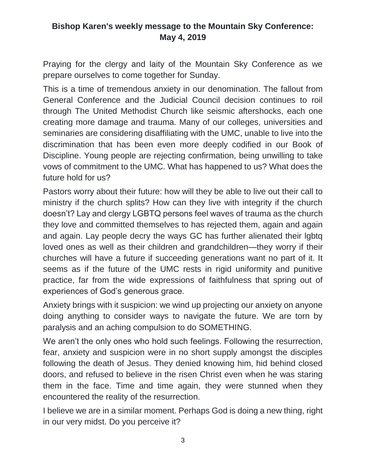## **Bishop Karen's weekly message to the Mountain Sky Conference: May 4, 2019**

Praying for the clergy and laity of the Mountain Sky Conference as we prepare ourselves to come together for Sunday.

This is a time of tremendous anxiety in our denomination. The fallout from General Conference and the Judicial Council decision continues to roil through The United Methodist Church like seismic aftershocks, each one creating more damage and trauma. Many of our colleges, universities and seminaries are considering disaffiliating with the UMC, unable to live into the discrimination that has been even more deeply codified in our Book of Discipline. Young people are rejecting confirmation, being unwilling to take vows of commitment to the UMC. What has happened to us? What does the future hold for us?

Pastors worry about their future: how will they be able to live out their call to ministry if the church splits? How can they live with integrity if the church doesn't? Lay and clergy LGBTQ persons feel waves of trauma as the church they love and committed themselves to has rejected them, again and again and again. Lay people decry the ways GC has further alienated their lgbtq loved ones as well as their children and grandchildren—they worry if their churches will have a future if succeeding generations want no part of it. It seems as if the future of the UMC rests in rigid uniformity and punitive practice, far from the wide expressions of faithfulness that spring out of experiences of God's generous grace.

Anxiety brings with it suspicion: we wind up projecting our anxiety on anyone doing anything to consider ways to navigate the future. We are torn by paralysis and an aching compulsion to do SOMETHING.

We aren't the only ones who hold such feelings. Following the resurrection, fear, anxiety and suspicion were in no short supply amongst the disciples following the death of Jesus. They denied knowing him, hid behind closed doors, and refused to believe in the risen Christ even when he was staring them in the face. Time and time again, they were stunned when they encountered the reality of the resurrection.

I believe we are in a similar moment. Perhaps God is doing a new thing, right in our very midst. Do you perceive it?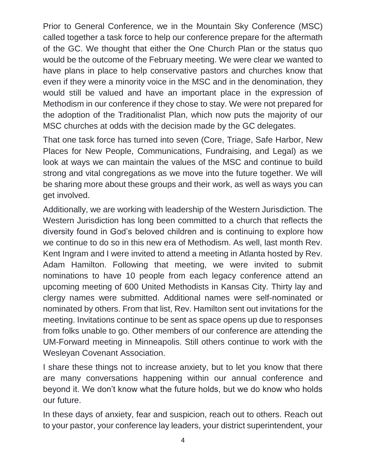Prior to General Conference, we in the Mountain Sky Conference (MSC) called together a task force to help our conference prepare for the aftermath of the GC. We thought that either the One Church Plan or the status quo would be the outcome of the February meeting. We were clear we wanted to have plans in place to help conservative pastors and churches know that even if they were a minority voice in the MSC and in the denomination, they would still be valued and have an important place in the expression of Methodism in our conference if they chose to stay. We were not prepared for the adoption of the Traditionalist Plan, which now puts the majority of our MSC churches at odds with the decision made by the GC delegates.

That one task force has turned into seven (Core, Triage, Safe Harbor, New Places for New People, Communications, Fundraising, and Legal) as we look at ways we can maintain the values of the MSC and continue to build strong and vital congregations as we move into the future together. We will be sharing more about these groups and their work, as well as ways you can get involved.

Additionally, we are working with leadership of the Western Jurisdiction. The Western Jurisdiction has long been committed to a church that reflects the diversity found in God's beloved children and is continuing to explore how we continue to do so in this new era of Methodism. As well, last month Rev. Kent Ingram and I were invited to attend a meeting in Atlanta hosted by Rev. Adam Hamilton. Following that meeting, we were invited to submit nominations to have 10 people from each legacy conference attend an upcoming meeting of 600 United Methodists in Kansas City. Thirty lay and clergy names were submitted. Additional names were self-nominated or nominated by others. From that list, Rev. Hamilton sent out invitations for the meeting. Invitations continue to be sent as space opens up due to responses from folks unable to go. Other members of our conference are attending the UM-Forward meeting in Minneapolis. Still others continue to work with the Wesleyan Covenant Association.

I share these things not to increase anxiety, but to let you know that there are many conversations happening within our annual conference and beyond it. We don't know what the future holds, but we do know who holds our future.

In these days of anxiety, fear and suspicion, reach out to others. Reach out to your pastor, your conference lay leaders, your district superintendent, your